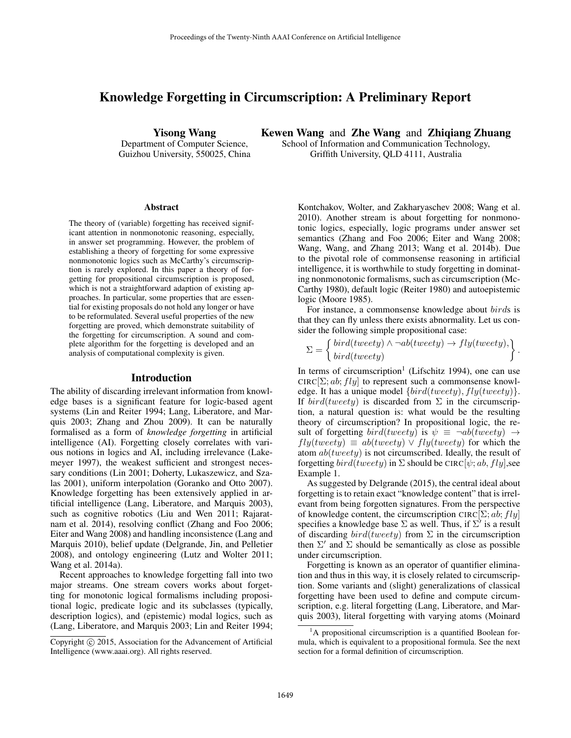# Knowledge Forgetting in Circumscription: A Preliminary Report

Yisong Wang Department of Computer Science, Guizhou University, 550025, China Kewen Wang and Zhe Wang and Zhiqiang Zhuang School of Information and Communication Technology,

Griffith University, QLD 4111, Australia

#### **Abstract**

The theory of (variable) forgetting has received significant attention in nonmonotonic reasoning, especially, in answer set programming. However, the problem of establishing a theory of forgetting for some expressive nonmonotonic logics such as McCarthy's circumscription is rarely explored. In this paper a theory of forgetting for propositional circumscription is proposed, which is not a straightforward adaption of existing approaches. In particular, some properties that are essential for existing proposals do not hold any longer or have to be reformulated. Several useful properties of the new forgetting are proved, which demonstrate suitability of the forgetting for circumscription. A sound and complete algorithm for the forgetting is developed and an analysis of computational complexity is given.

#### Introduction

The ability of discarding irrelevant information from knowledge bases is a significant feature for logic-based agent systems (Lin and Reiter 1994; Lang, Liberatore, and Marquis 2003; Zhang and Zhou 2009). It can be naturally formalised as a form of *knowledge forgetting* in artificial intelligence (AI). Forgetting closely correlates with various notions in logics and AI, including irrelevance (Lakemeyer 1997), the weakest sufficient and strongest necessary conditions (Lin 2001; Doherty, Lukaszewicz, and Szalas 2001), uniform interpolation (Goranko and Otto 2007). Knowledge forgetting has been extensively applied in artificial intelligence (Lang, Liberatore, and Marquis 2003), such as cognitive robotics (Liu and Wen 2011; Rajaratnam et al. 2014), resolving conflict (Zhang and Foo 2006; Eiter and Wang 2008) and handling inconsistence (Lang and Marquis 2010), belief update (Delgrande, Jin, and Pelletier 2008), and ontology engineering (Lutz and Wolter 2011; Wang et al. 2014a).

Recent approaches to knowledge forgetting fall into two major streams. One stream covers works about forgetting for monotonic logical formalisms including propositional logic, predicate logic and its subclasses (typically, description logics), and (epistemic) modal logics, such as (Lang, Liberatore, and Marquis 2003; Lin and Reiter 1994;

Kontchakov, Wolter, and Zakharyaschev 2008; Wang et al. 2010). Another stream is about forgetting for nonmonotonic logics, especially, logic programs under answer set semantics (Zhang and Foo 2006; Eiter and Wang 2008; Wang, Wang, and Zhang 2013; Wang et al. 2014b). Due to the pivotal role of commonsense reasoning in artificial intelligence, it is worthwhile to study forgetting in dominating nonmonotonic formalisms, such as circumscription (Mc-Carthy 1980), default logic (Reiter 1980) and autoepistemic logic (Moore 1985).

For instance, a commonsense knowledge about birds is that they can fly unless there exists abnormality. Let us consider the following simple propositional case:

$$
\Sigma = \left\{ \begin{matrix} bird(tweety) \land \neg ab(tweety) \rightarrow fly(tweety), \\ bird(tweety) \end{matrix} \right\}.
$$

In terms of circumscription<sup>1</sup> (Lifschitz 1994), one can use CIRC $[\Sigma; ab; fly]$  to represent such a commonsense knowledge. It has a unique model  $\{bird(tweety), fly(tweety)\}.$ If  $bird(tweety)$  is discarded from  $\Sigma$  in the circumscription, a natural question is: what would be the resulting theory of circumscription? In propositional logic, the result of forgetting  $bird(tweety)$  is  $\psi \equiv \neg ab(tweety) \rightarrow$  $fly(tweety) \equiv ab(tweety) \vee fly(tweety)$  for which the atom  $ab(tweety)$  is not circumscribed. Ideally, the result of forgetting  $bird(tweety)$  in  $\Sigma$  should be CIRC[ $\psi$ ; ab, fly], see Example 1.

As suggested by Delgrande (2015), the central ideal about forgetting is to retain exact "knowledge content" that is irrelevant from being forgotten signatures. From the perspective of knowledge content, the circumscription CIRC[ $\Sigma$ ; ab; fly] specifies a knowledge base  $\Sigma$  as well. Thus, if  $\Sigma'$  is a result of discarding  $bird(tweety)$  from  $\Sigma$  in the circumscription then  $\Sigma'$  and  $\Sigma$  should be semantically as close as possible under circumscription.

Forgetting is known as an operator of quantifier elimination and thus in this way, it is closely related to circumscription. Some variants and (slight) generalizations of classical forgetting have been used to define and compute circumscription, e.g. literal forgetting (Lang, Liberatore, and Marquis 2003), literal forgetting with varying atoms (Moinard

Copyright (c) 2015, Association for the Advancement of Artificial Intelligence (www.aaai.org). All rights reserved.

 $1<sup>1</sup>A$  propositional circumscription is a quantified Boolean formula, which is equivalent to a propositional formula. See the next section for a formal definition of circumscription.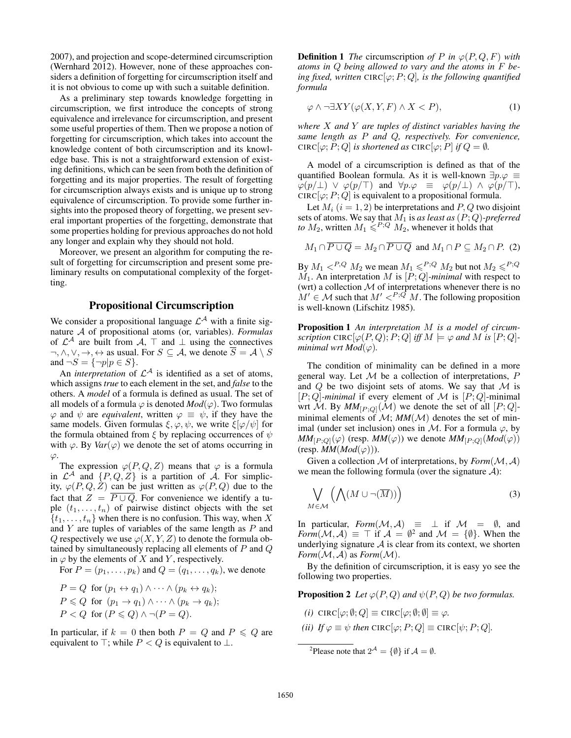2007), and projection and scope-determined circumscription (Wernhard 2012). However, none of these approaches considers a definition of forgetting for circumscription itself and it is not obvious to come up with such a suitable definition.

As a preliminary step towards knowledge forgetting in circumscription, we first introduce the concepts of strong equivalence and irrelevance for circumscription, and present some useful properties of them. Then we propose a notion of forgetting for circumscription, which takes into account the knowledge content of both circumscription and its knowledge base. This is not a straightforward extension of existing definitions, which can be seen from both the definition of forgetting and its major properties. The result of forgetting for circumscription always exists and is unique up to strong equivalence of circumscription. To provide some further insights into the proposed theory of forgetting, we present several important properties of the forgetting, demonstrate that some properties holding for previous approaches do not hold any longer and explain why they should not hold.

Moreover, we present an algorithm for computing the result of forgetting for circumscription and present some preliminary results on computational complexity of the forgetting.

### Propositional Circumscription

We consider a propositional language  $\mathcal{L}^{\mathcal{A}}$  with a finite signature A of propositional atoms (or, variables). *Formulas* of  $\mathcal{L}^{\mathcal{A}}$  are built from  $\mathcal{A}, \top$  and  $\bot$  using the connectives  $\neg, \wedge, \vee, \rightarrow, \leftrightarrow$  as usual. For  $S \subseteq A$ , we denote  $\overline{S} = A \setminus S$ and  $\neg S = {\neg p | p \in S}.$ 

An *interpretation* of  $\mathcal{L}^{\mathcal{A}}$  is identified as a set of atoms, which assigns *true* to each element in the set, and *false* to the others. A *model* of a formula is defined as usual. The set of all models of a formula  $\varphi$  is denoted  $Mod(\varphi)$ . Two formulas  $\varphi$  and  $\psi$  are *equivalent*, written  $\varphi \equiv \psi$ , if they have the same models. Given formulas  $\xi, \varphi, \psi$ , we write  $\xi[\varphi/\psi]$  for the formula obtained from  $\xi$  by replacing occurrences of  $\psi$ with  $\varphi$ . By *Var*( $\varphi$ ) we denote the set of atoms occurring in  $\varphi$ .

The expression  $\varphi(P,Q,Z)$  means that  $\varphi$  is a formula in  $\mathcal{L}^{\mathcal{A}}$  and  $\{P,Q,Z\}$  is a partition of A. For simplicity,  $\varphi(P,Q,\tilde{Z})$  can be just written as  $\varphi(P,Q)$  due to the fact that  $Z = \overline{P \cup Q}$ . For convenience we identify a tuple  $(t_1, \ldots, t_n)$  of pairwise distinct objects with the set  $\{t_1, \ldots, t_n\}$  when there is no confusion. This way, when X and Y are tuples of variables of the same length as P and Q respectively we use  $\varphi(X, Y, Z)$  to denote the formula obtained by simultaneously replacing all elements of  $P$  and  $Q$ in  $\varphi$  by the elements of X and Y, respectively.

For  $P = (p_1, \ldots, p_k)$  and  $Q = (q_1, \ldots, q_k)$ , we denote

$$
P = Q \text{ for } (p_1 \leftrightarrow q_1) \land \cdots \land (p_k \leftrightarrow q_k);
$$
  
\n
$$
P \leq Q \text{ for } (p_1 \rightarrow q_1) \land \cdots \land (p_k \rightarrow q_k);
$$
  
\n
$$
P < Q \text{ for } (P \leq Q) \land \neg (P = Q).
$$

In particular, if  $k = 0$  then both  $P = Q$  and  $P \leq Q$  are equivalent to  $\top$ ; while  $P < Q$  is equivalent to  $\bot$ .

**Definition 1** *The* circumscription *of*  $P$  *in*  $\varphi(P, Q, F)$  *with atoms in* Q *being allowed to vary and the atoms in* F *being fixed, written* CIRC[ $\varphi$ ; *P*; *Q*]*, is the following quantified formula*

$$
\varphi \land \neg \exists XY (\varphi(X, Y, F) \land X < P), \tag{1}
$$

*where* X *and* Y *are tuples of distinct variables having the same length as* P *and* Q*, respectively. For convenience,* CIRC[ $\varphi$ ; P; Q] *is shortened as* CIRC[ $\varphi$ ; P] *if*  $Q = \emptyset$ *.* 

A model of a circumscription is defined as that of the quantified Boolean formula. As it is well-known  $\exists p.\varphi \equiv$  $\varphi(p/\perp) \vee \varphi(p/\perp)$  and  $\forall p.\varphi \equiv \varphi(p/\perp) \wedge \varphi(p/\perp)$ , CIRC[ $\varphi$ ; P; Q] is equivalent to a propositional formula.

Let  $M_i$   $(i = 1, 2)$  be interpretations and P, Q two disjoint sets of atoms. We say that  $M_1$  is *as least as*  $(P; Q)$ *-preferred to*  $M_2$ , written  $M_1 \leq P^{\cdot Q} M_2$ , whenever it holds that

$$
M_1 \cap \overline{P \cup Q} = M_2 \cap \overline{P \cup Q}
$$
 and  $M_1 \cap P \subseteq M_2 \cap P$ . (2)

By  $M_1 <sup>P,Q</sup> M_2$  we mean  $M_1 \leq P^Q M_2$  but not  $M_2 \leq P^Q Q$  $M_1$ . An interpretation M is  $[P; Q]$ -minimal with respect to (wrt) a collection  $M$  of interpretations whenever there is no  $M' \in \mathcal{M}$  such that  $M' <sup>P</sup>; Q M$ . The following proposition is well-known (Lifschitz 1985).

Proposition 1 *An interpretation* M *is a model of circumscription* CIRC $[\varphi(P, Q); P; Q]$  *iff*  $M \models \varphi$  *and*  $M$  *is*  $[P; Q]$ *minimal wrt*  $Mod(\varphi)$ *.* 

The condition of minimality can be defined in a more general way. Let  $M$  be a collection of interpretations,  $P$ and  $Q$  be two disjoint sets of atoms. We say that  $M$  is  $[P; Q]$ -minimal if every element of M is  $[P; Q]$ -minimal wrt M. By  $MM_{[P,Q]}(\mathcal{M})$  we denote the set of all  $[P;Q]$ minimal elements of  $M$ ;  $MM(M)$  denotes the set of minimal (under set inclusion) ones in M. For a formula  $\varphi$ , by  $MM_{[P;Q]}(\varphi)$  (resp.  $MM(\varphi)$ ) we denote  $MM_{[P;Q]}(Mod(\varphi))$  $(\text{resp. } MM(Mod(\varphi)))$ .

Given a collection  $M$  of interpretations, by  $\textit{Form}(M, \mathcal{A})$ we mean the following formula (over the signature  $A$ ):

$$
\bigvee_{M \in \mathcal{M}} \left( \bigwedge (M \cup \neg(\overline{M})) \right) \tag{3}
$$

In particular,  $Form(M, A) \equiv \perp$  if  $M = \emptyset$ , and  $\textit{Form}(\mathcal{M}, \mathcal{A}) \equiv \top \text{ if } \mathcal{A} = \emptyset^2 \text{ and } \mathcal{M} = \{\emptyset\}.$  When the underlying signature  $A$  is clear from its context, we shorten *Form* $(M, A)$  as *Form* $(M)$ .

By the definition of circumscription, it is easy yo see the following two properties.

**Proposition 2** *Let*  $\varphi(P,Q)$  *and*  $\psi(P,Q)$  *be two formulas.* 

 $(i)$  CIRC $[\varphi; \emptyset; Q] \equiv \text{CIRC}[\varphi; \emptyset; \emptyset] \equiv \varphi$ .

*(ii) If*  $\varphi \equiv \psi$  *then* CIRC[ $\varphi$ ; *P*; *Q*]  $\equiv$  CIRC[ $\psi$ ; *P*; *Q*].

<sup>2</sup>Please note that  $2^{\mathcal{A}} = \{\emptyset\}$  if  $\mathcal{A} = \emptyset$ .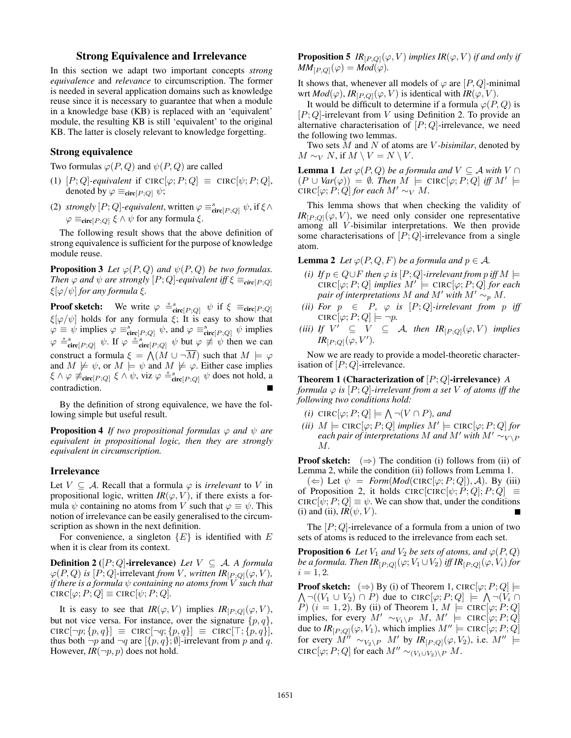# Strong Equivalence and Irrelevance

In this section we adapt two important concepts *strong equivalence* and *relevance* to circumscription. The former is needed in several application domains such as knowledge reuse since it is necessary to guarantee that when a module in a knowledge base (KB) is replaced with an 'equivalent' module, the resulting KB is still 'equivalent' to the original KB. The latter is closely relevant to knowledge forgetting.

### Strong equivalence

Two formulas  $\varphi(P,Q)$  and  $\psi(P,Q)$  are called

- (1)  $[P; Q]$ *-equivalent* if CIRC $[\varphi; P; Q] \equiv \text{CIRC}[\psi; P; Q]$ , denoted by  $\varphi \equiv_{\text{circ}[P;Q]} \psi$ ;
- (2) *strongly*  $[P; Q]$ -equivalent, written  $\varphi \equiv_{\text{circ}[P; Q]}^s \psi$ , if  $\xi \wedge$  $\varphi \equiv_{\text{circ}(P;Q)} \xi \wedge \psi$  for any formula  $\xi$ .

The following result shows that the above definition of strong equivalence is sufficient for the purpose of knowledge module reuse.

**Proposition 3** *Let*  $\varphi(P,Q)$  *and*  $\psi(P,Q)$  *be two formulas. Then*  $\varphi$  *and*  $\psi$  *are strongly*  $[P; Q]$ *-equivalent iff*  $\xi \equiv_{\text{circ}(P;Q)}$ ξ[ϕ/ψ] *for any formula* ξ*.*

**Proof sketch:** We write  $\varphi \stackrel{\circ}{=} \text{circ}_{[P;Q]} \psi$  if  $\xi \equiv_{\text{circ}[P;Q]}$  $\xi[\varphi/\psi]$  holds for any formula  $\xi$ ; It is easy to show that  $\varphi \equiv \psi$  implies  $\varphi \equiv_{\text{circ}[P,Q]}^{s} \psi$ , and  $\varphi \equiv_{\text{circ}[P,Q]}^{s} \psi$  implies  $\varphi \triangleq_{\text{circ}[P;Q]}^{s} \psi$ . If  $\varphi \triangleq_{\text{circ}[P;Q]}^{s} \psi$  but  $\varphi \not\equiv \psi$  then we can construct a formula  $\xi = \bigwedge (M \cup \neg \overline{M})$  such that  $M \models \varphi$ and  $M \not\models \psi$ , or  $M \not\models \psi$  and  $M \not\models \varphi$ . Either case implies  $\xi \wedge \varphi \neq_{\text{circ}[P,Q]} \xi \wedge \psi$ , viz  $\varphi \stackrel{\circ}{=} \text{circ}[P,Q] \psi$  does not hold, a contradiction.

By the definition of strong equivalence, we have the following simple but useful result.

**Proposition 4** *If two propositional formulas*  $\varphi$  *and*  $\psi$  *are equivalent in propositional logic, then they are strongly equivalent in circumscription.*

#### Irrelevance

Let  $V \subseteq A$ . Recall that a formula  $\varphi$  is *irrelevant* to V in propositional logic, written  $IR(\varphi, V)$ , if there exists a formula  $\psi$  containing no atoms from V such that  $\varphi \equiv \psi$ . This notion of irrelevance can be easily generalised to the circumscription as shown in the next definition.

For convenience, a singleton  ${E}$  is identified with E when it is clear from its context.

**Definition 2** ( $[P; Q]$ -irrelevance) *Let*  $V \subseteq A$ *. A formula*  $\varphi(P, Q)$  *is*  $[P; Q]$ -irrelevant *from V*, written  $IR_{[P;Q]}(\varphi, V)$ , *if there is a formula*  $\psi$  *containing no atoms from*  $\dot{V}$  *such that*  $CIRC[\varphi; P; Q] \equiv CIRC[\psi; P; Q].$ 

It is easy to see that  $IR(\varphi, V)$  implies  $IR_{[P,Q]}(\varphi, V)$ , but not vice versa. For instance, over the signature  $\{p, q\}$ ,  $CIRC[\neg p; \{p, q\}] \equiv CIRC[\neg q; \{p, q\}] \equiv CIRC[\top; \{p, q\}],$ thus both  $\neg p$  and  $\neg q$  are  $[\{p, q\}; \emptyset]$ -irrelevant from p and q. However,  $IR(\neg p, p)$  does not hold.

**Proposition 5** *IR*<sub>[*P,Q*]</sub>( $\varphi$ , *V*) *implies IR*( $\varphi$ , *V*) *if and only if*  $MM_{[P,Q]}(\varphi) = Mod(\varphi).$ 

It shows that, whenever all models of  $\varphi$  are  $[P,Q]$ -minimal wrt  $Mod(\varphi)$ ,  $IR_{[P,Q]}(\varphi, V)$  is identical with  $IR(\varphi, V)$ .

It would be difficult to determine if a formula  $\varphi(P, Q)$  is  $[P; Q]$ -irrelevant from V using Definition 2. To provide an alternative characterisation of  $[P; Q]$ -irrelevance, we need the following two lemmas.

Two sets M and N of atoms are V *-bisimilar*, denoted by  $M \sim_V N$ , if  $M \setminus V = N \setminus V$ .

**Lemma 1** *Let*  $\varphi(P,Q)$  *be a formula and*  $V \subseteq A$  *with*  $V \cap$  $(P \cup Var(\varphi)) = \emptyset$ . Then  $\tilde{M} \models \text{CIRC}[\varphi; P; Q]$  iff  $M' \models$ CIRC $[\varphi; P; Q]$  *for each*  $M' \sim_V M$ .

This lemma shows that when checking the validity of  $IR_{[P:O]}(\varphi, V)$ , we need only consider one representative among all V -bisimilar interpretations. We then provide some characterisations of  $[P; Q]$ -irrelevance from a single atom.

**Lemma 2** *Let*  $\varphi(P, Q, F)$  *be a formula and*  $p \in \mathcal{A}$ *.* 

- *(i) If*  $p \in Q \cup F$  *then*  $\varphi$  *is*  $[P; Q]$ *-irrelevant from*  $p$  *iff*  $M \models$  $CIRC[\varphi;P;Q]$  *implies*  $M' \models \text{CIRC}[\varphi;P;Q]$  *for each pair of interpretations* M *and* M' with  $M' \sim_{p} M$ .
- *(ii)* For  $p \in P$ ,  $\varphi$  *is*  $[P; Q]$ *-irrelevant from*  $p$  *iff*  $CIRC[\varphi;P;Q] \models \neg p.$
- (*iii*) If  $V' \subseteq V \subseteq A$ , then  $IR_{[P,Q]}(\varphi, V)$  implies  $IR_{[P;Q]}(\varphi, V').$

Now we are ready to provide a model-theoretic characterisation of  $[P; Q]$ -irrelevance.

Theorem 1 (Characterization of [P; Q]-irrelevance) *A*

*formula*  $\varphi$  *is*  $[P; Q]$ -*irrelevant from a set*  $V$  *of atoms iff the following two conditions hold:*

- $(i)$  CIRC $[\varphi; P; Q] \models \bigwedge \neg(V \cap P)$ *, and*
- $(iii)$   $M \models \text{CIRC}[\varphi; P; Q]$  *implies*  $M' \models \text{CIRC}[\varphi; P; Q]$  *for each pair of interpretations* M *and* M' with  $M' \sim_{V \setminus P}$ M*.*

**Proof sketch:**  $(\Rightarrow)$  The condition (i) follows from (ii) of Lemma 2, while the condition (ii) follows from Lemma 1.

 $(\Leftarrow)$  Let  $\psi = Form(Mod(CIRC[\varphi; P; Q]), \mathcal{A})$ . By (iii) of Proposition 2, it holds CIRC $[CIRC[\psi; P; Q]; P; Q] \equiv$  $CIRC[\psi; P; Q] \equiv \psi$ . We can show that, under the conditions (i) and (ii),  $IR(\psi, V)$ .

The  $[P; Q]$ -irrelevance of a formula from a union of two sets of atoms is reduced to the irrelevance from each set.

**Proposition 6** *Let*  $V_1$  *and*  $V_2$  *be sets of atoms, and*  $\varphi(P, Q)$ *be a formula. Then*  $IR_{[P;Q]}(\varphi; V_1 \cup V_2)$  *iff*  $IR_{[P;Q]}(\varphi, V_i)$  *for*  $i = 1, 2.$ 

 $\bigwedge \neg ((V_1 \cup V_2) \cap P)$  due to CIRC $[\varphi ; P; Q] \models \bigwedge \neg (V_i \cap$ **Proof sketch:**  $(\Rightarrow)$  By (i) of Theorem 1, CIRC $[\varphi; P; Q]$   $\models$ P)  $(i = 1, 2)$ . By (ii) of Theorem 1,  $M \models \text{CIRC}[\varphi; P; Q]$ implies, for every  $M'\sim_{V_1\setminus P} M$ ,  $M'\models$  CIRC $[\varphi;P;Q]$ due to  $IR_{[P;Q]}(\varphi, V_1)$ , which implies  $M'' \models \text{CIRC}[\varphi; P; Q]$ for every  $M'' \sim_{V_2 \backslash P} M'$  by  $IR_{[P,Q]}(\varphi, V_2)$ , i.e.  $M'' \models$ CIRC $[\varphi; P; Q]$  for each  $M'' \sim_{(V_1 \cup V_2) \setminus P} M$ .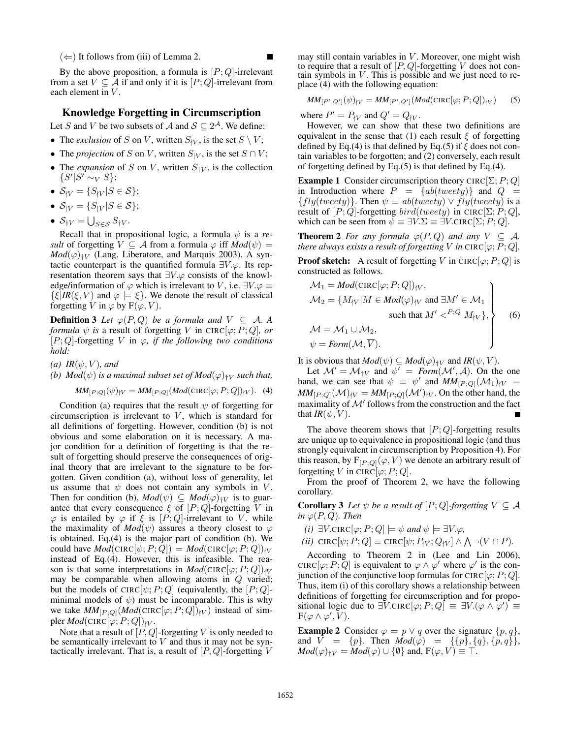$(\Leftarrow)$  It follows from (iii) of Lemma 2.

By the above proposition, a formula is  $[P; Q]$ -irrelevant from a set  $V \subseteq \overline{A}$  if and only if it is  $[P; Q]$ -irrelevant from each element in V.

# Knowledge Forgetting in Circumscription

Let S and V be two subsets of A and  $S \subseteq 2^A$ . We define:

- The *exclusion* of S on V, written  $S_{\{V\}}$ , is the set  $S \setminus V$ ;
- The *projection* of S on V, written  $S_{|V}$ , is the set  $S \cap V$ ;
- The *expansion* of S on V, written  $S_{\dagger V}$ , is the collection  $\{S' | S' \sim_V S\};$
- $S_{V} = \{S_{V} | S \in S\};$
- $S_{|V} = \{S_{|V}|S \in S\};$
- $S_{\dagger V} = \bigcup_{S \in \mathcal{S}} S_{\dagger V}$ .

Recall that in propositional logic, a formula  $\psi$  is a *result* of forgetting  $V \subseteq A$  from a formula  $\varphi$  iff  $Mod(\psi) =$  $Mod(\varphi)_{\dagger V}$  (Lang, Liberatore, and Marquis 2003). A syntactic counterpart is the quantified formula  $\exists V.\varphi$ . Its representation theorem says that  $\exists V.\varphi$  consists of the knowledge/information of  $\varphi$  which is irrelevant to V, i.e.  $\exists V.\varphi \equiv$  $\{\xi | \textit{IR}(\xi, V) \text{ and } \varphi \models \xi\}.$  We denote the result of classical forgetting V in  $\varphi$  by  $F(\varphi, V)$ .

**Definition 3** Let  $\varphi(P, Q)$  be a formula and  $V \subseteq A$ . A *formula*  $\psi$  *is* a result of forgetting V in CIRC[ $\varphi$ ; P; Q], or  $[P; Q]$ -forgetting V in  $\varphi$ , *if the following two conditions hold:*

*(a)*  $IR(\psi, V)$ *, and* 

*(b)*  $Mod(\psi)$  *is a maximal subset set of*  $Mod(\varphi)_{\dagger V}$  *such that,* 

 $MM_{[P:Q]}(\psi)_{V} = MM_{[P:Q]}(Mod(\text{CIRC}[\varphi; P; Q])_{V}).$  (4)

Condition (a) requires that the result  $\psi$  of forgetting for circumscription is irrelevant to  $V$ , which is standard for all definitions of forgetting. However, condition (b) is not obvious and some elaboration on it is necessary. A major condition for a definition of forgetting is that the result of forgetting should preserve the consequences of original theory that are irrelevant to the signature to be forgotten. Given condition (a), without loss of generality, let us assume that  $\psi$  does not contain any symbols in V. Then for condition (b),  $Mod(\psi) \subseteq Mod(\varphi)_{\dagger V}$  is to guarantee that every consequence  $\xi$  of  $[P; Q]$ -forgetting V in  $\varphi$  is entailed by  $\varphi$  if  $\xi$  is  $[P; Q]$ -irrelevant to V. while the maximality of  $Mod(\psi)$  assures a theory closest to  $\varphi$ is obtained. Eq.(4) is the major part of condition (b). We could have  $Mod(\text{CIRC}[\psi; P; Q]) = Mod(\text{CIRC}[\varphi; P; Q])_{\nmid V}$ instead of Eq.(4). However, this is infeasible. The reason is that some interpretations in  $Mod(CIRC[\varphi;P;Q])_{\uparrow V}$ may be comparable when allowing atoms in  $Q$  varied; but the models of CIRC $[\psi; P; Q]$  (equivalently, the  $[P; Q]$ minimal models of  $\psi$ ) must be incomparable. This is why we take  $MM_{[P;Q]}(Mod(\text{CIRC}[\varphi;P;Q])_{|V})$  instead of simpler  $Mod(\text{CIRC}[\varphi; P; Q])_{\nmid V}$ .

Note that a result of  $[P,Q]$ -forgetting V is only needed to be semantically irrelevant to  $V$  and thus it may not be syntactically irrelevant. That is, a result of  $[P,Q]$ -forgetting V

may still contain variables in  $V$ . Moreover, one might wish to require that a result of  $[P,Q]$ -forgetting V does not contain symbols in  $V$ . This is possible and we just need to replace (4) with the following equation:

$$
MM_{[P',Q']}(\psi)_{\dagger V} = MM_{[P',Q']}(Mod(\text{CIRC}[\varphi;P;Q])_{\dagger V})
$$
 (5)

where  $P' = P_{\uparrow V}$  and  $Q' = Q_{\uparrow V}$ .

However, we can show that these two definitions are equivalent in the sense that (1) each result  $\xi$  of forgetting defined by Eq.(4) is that defined by Eq.(5) if  $\xi$  does not contain variables to be forgotten; and (2) conversely, each result of forgetting defined by Eq.(5) is that defined by Eq.(4).

**Example 1** Consider circumscription theory CIRC $[\Sigma; P; Q]$ in Introduction where  $P = \{ab(tweety)\}\$ and  $Q =$  ${fly(tweety)}$ . Then  $\psi \equiv ab(tweety) \vee fly(tweety)$  is a result of  $[P; Q]$ -forgetting  $bird(tweety)$  in CIRC $[\Sigma; P; Q]$ , which can be seen from  $\psi \equiv \exists V.\Sigma \equiv \exists V.\text{CIRC}[\Sigma;P;Q].$ 

**Theorem 2** *For any formula*  $\varphi(P,Q)$  *and any*  $V \subseteq A$ *. there always exists a result of forgetting V in* CIRC[ $\varphi$ ; *P*; *Q*].

**Proof sketch:** A result of forgetting V in CIRC $[\varphi; P; Q]$  is constructed as follows.

$$
M_1 = Mod(\text{CIRC}[\varphi; P; Q])_{\nmid V},
$$
  
\n
$$
M_2 = \{M_{\nmid V} | M \in Mod(\varphi)_{\nmid V} \text{ and } \exists M' \in \mathcal{M}_1
$$
  
\nsuch that  $M' P; Q M_{\nmid V},$   
\n
$$
M = M_1 \cup M_2,
$$
  
\n
$$
\psi = Form(M, \overline{V}).
$$
\n(6)

It is obvious that  $Mod(\psi) \subseteq Mod(\varphi)_{\dagger V}$  and  $IR(\psi, V)$ .

Let  $\mathcal{M}' = \mathcal{M}_{\dagger V}$  and  $\psi' = \text{Form}(\mathcal{M}', \mathcal{A})$ . On the one hand, we can see that  $\psi \equiv \psi'$  and  $MM_{[P,Q]}(\mathcal{M}_1)_{\nmid V}$  $MM_{[P;Q]}(\mathcal{M})_{|V} = MM_{[P;Q]}(\mathcal{M}')_{|V}$ . On the other hand, the maximality of  $\mathcal{M}'$  follows from the construction and the fact that  $IR(\psi, V)$ .

The above theorem shows that  $[P; Q]$ -forgetting results are unique up to equivalence in propositional logic (and thus strongly equivalent in circumscription by Proposition 4). For this reason, by  $F_{[P;Q]}(\varphi, V)$  we denote an arbitrary result of forgetting V in CIRC[ $\varphi$ ; P; Q].

From the proof of Theorem 2, we have the following corollary.

**Corollary 3** Let  $\psi$  be a result of  $[P; Q]$ -forgetting  $V \subseteq A$ *in*  $\varphi(P,Q)$ *. Then* 

- *(i)* ∃*V*.CIRC[ $\varphi$ ; *P*; *Q*]  $\models$   $\psi$  *and*  $\psi$   $\models$  ∃*V*. $\varphi$ *,*
- $(iii) \ \text{CIRC}[\psi; P; Q] \equiv \text{CIRC}[\psi; P_{\{V}; Q_{\{V\}}] \wedge \bigwedge \neg(V \cap P).$

According to Theorem 2 in (Lee and Lin 2006), CIRC[ $\varphi$ ; P;  $\overline{Q}$ ] is equivalent to  $\varphi \wedge \varphi'$  where  $\varphi'$  is the conjunction of the conjunctive loop formulas for CIRC[ $\varphi$ ; P; Q]. Thus, item (i) of this corollary shows a relationship between definitions of forgetting for circumscription and for propositional logic due to  $\exists V$ .CIRC $[\varphi; P; Q] \equiv \exists V$ . $(\varphi \wedge \varphi') \equiv$  $\mathrm{F}(\varphi\wedge\varphi',\bar{V}).$ 

**Example 2** Consider  $\varphi = p \vee q$  over the signature  $\{p, q\}$ , and  $V = \{p\}$ . Then  $Mod(\varphi) = \{\{p\}, \{q\}, \{p, q\}\},\$  $Mod(\varphi)_{\dagger V} = Mod(\varphi) \cup {\emptyset}$  and,  $F(\varphi, V) \equiv T$ .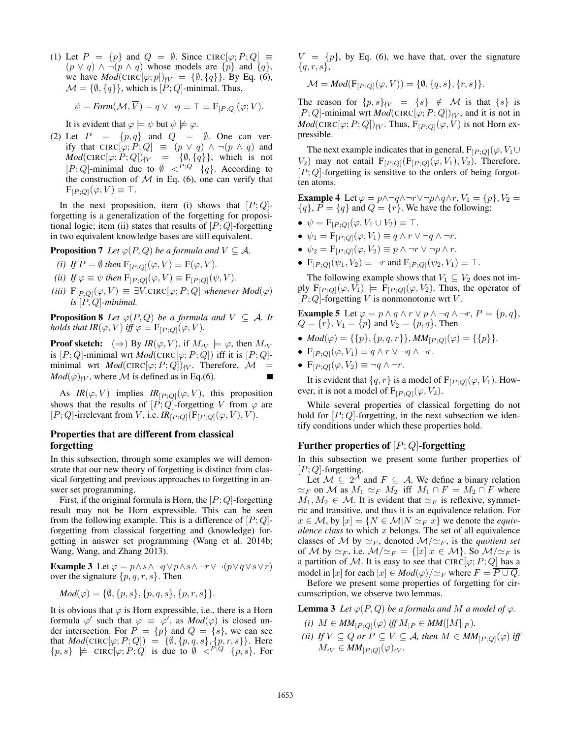(1) Let  $P = \{p\}$  and  $Q = \emptyset$ . Since CIRC[ $\varphi$ ;  $P$ ;  $Q$ ]  $\equiv$  $(p \vee q) \wedge \neg (p \wedge q)$  whose models are  $\{p\}$  and  $\{q\}$ , we have  $Mod(\text{CIRC}[\varphi; p])_{\{V\}} = \{\emptyset, \{q\}\}\$ . By Eq. (6),  $\mathcal{M} = \{\emptyset, \{q\}\}\$ , which is  $[P; Q]$ -minimal. Thus,

$$
\psi = \text{Form}(\mathcal{M}, \overline{V}) = q \lor \neg q \equiv \top \equiv F_{[P;Q]}(\varphi; V).
$$

It is evident that  $\varphi \models \psi$  but  $\psi \not\models \varphi$ .

(2) Let  $P = \{p, q\}$  and  $Q = \emptyset$ . One can verify that CIRC $[\varphi; P; Q] \equiv (p \vee q) \wedge \neg (p \wedge q)$  and  $Mod(\text{CIRC}[\varphi;P;Q])_{|V}$  = { $\emptyset, \{q\}$ }, which is not  $[P; Q]$ -minimal due to  $\emptyset \leq^{P; Q} \{q\}$ . According to the construction of  $M$  in Eq. (6), one can verify that  $F_{[P;Q]}(\varphi,V) \equiv \top.$ 

In the next proposition, item (i) shows that  $[P; Q]$ forgetting is a generalization of the forgetting for propositional logic; item (ii) states that results of  $[P; Q]$ -forgetting in two equivalent knowledge bases are still equivalent.

**Proposition 7** *Let*  $\varphi(P, Q)$  *be a formula and*  $V \subseteq A$ *.* 

*(i) If*  $P = \emptyset$  *then*  $F_{[P:Q]}(\varphi, V) \equiv F(\varphi, V)$ *.* 

*(ii) If*  $\varphi \equiv \psi$  *then*  $F_{[P;Q]}(\varphi, V) \equiv F_{[P;Q]}(\psi, V)$ *.* 

*(iii)*  $F_{[P,Q]}(\varphi, V) \equiv \exists V$ .CIRC $[\varphi; P; Q]$  *whenever Mod* $(\varphi)$ *is* [P, Q]*-minimal.*

**Proposition 8** Let  $\varphi(P,Q)$  be a formula and  $V \subseteq A$ . It *holds that IR*( $\varphi$ , V) *iff*  $\varphi \equiv F_{[P,Q]}(\varphi, V)$ *.* 

**Proof sketch:**  $(\Rightarrow)$  By  $IR(\varphi, V)$ , if  $M_{\forall V} \models \varphi$ , then  $M_{\forall V}$ is  $[P; Q]$ -minimal wrt *Mod*(CIRC[ $\varphi$ ; P; Q]) iff it is  $[P; Q]$ minimal wrt  $Mod(\text{CIRC}[\varphi; P; Q])_{\{V\}}$ . Therefore,  $\mathcal{M}$  =  $Mod(\varphi)_{\mid V}$ , where M is defined as in Eq.(6).

As  $IR(\varphi, V)$  implies  $IR_{[P,Q]}(\varphi, V)$ , this proposition shows that the results of  $[P; Q]$ -forgetting V from  $\varphi$  are  $[P; Q]$ -irrelevant from V, i.e.  $IR_{[P;Q]}(F_{[P;Q]}(\varphi, V), V)$ .

# Properties that are different from classical forgetting

In this subsection, through some examples we will demonstrate that our new theory of forgetting is distinct from classical forgetting and previous approaches to forgetting in answer set programming.

First, if the original formula is Horn, the  $[P; Q]$ -forgetting result may not be Horn expressible. This can be seen from the following example. This is a difference of  $[P; Q]$ forgetting from classical forgetting and (knowledge) forgetting in answer set programming (Wang et al. 2014b; Wang, Wang, and Zhang 2013).

Example 3 Let  $\varphi = p \land s \land \neg q \lor p \land s \land \neg r \lor \neg (p \lor q \lor s \lor r)$ over the signature  $\{p, q, r, s\}$ . Then

$$
Mod(\varphi) = \{\emptyset, \{p, s\}, \{p, q, s\}, \{p, r, s\}\}.
$$

It is obvious that  $\varphi$  is Horn expressible, i.e., there is a Horn formula  $\varphi'$  such that  $\varphi \equiv \varphi'$ , as  $Mod(\varphi)$  is closed under intersection. For  $P = \{p\}$  and  $Q = \{s\}$ , we can see that  $Mod(\text{CIRC}[\varphi; P; Q]) = \{ \emptyset, \{p, q, s\}, \{p, r, s\} \}.$  Here  $\{p, s\} \not\models {\text{CIRC}}[{\varphi}; P; \check{Q}]$  is due to  $\check{V} \leq P, Q \{p, s\}$ . For

 $V = \{p\}$ , by Eq. (6), we have that, over the signature  ${q, r, s}$ ,

$$
\mathcal{M} = Mod(\mathbf{F}_{[P;Q]}(\varphi, V)) = \{\emptyset, \{q, s\}, \{r, s\}\}.
$$

The reason for  $\{p, s\}_{\{V} = \{s\} \notin \mathcal{M}$  is that  $\{s\}$  is  $[P; Q]$ -minimal wrt *Mod*(CIRC[ $\varphi$ ;  $P; Q$ ])<sub>*Vv*</sub>, and it is not in  $Mod(\text{CIRC}[\varphi; P; Q])_{\{V}$ . Thus,  $F_{[P;Q]}(\varphi, V)$  is not Horn expressible.

The next example indicates that in general,  $F_{[P;Q]}(\varphi, V_1 \cup$  $V_2$ ) may not entail  $F_{[P;Q]}(F_{[P;Q]}(\varphi, V_1), V_2)$ . Therefore,  $[P; Q]$ -forgetting is sensitive to the orders of being forgotten atoms.

**Example 4** Let  $\varphi = p \land \neg q \land \neg r \lor \neg p \land q \land r$ ,  $V_1 = \{p\}$ ,  $V_2 =$  ${q}$ ,  $P = {q}$  and  $Q = {r}$ . We have the following:

- $\psi = \mathbf{F}_{[P;Q]}(\varphi, V_1 \cup V_2) \equiv \top.$
- $\psi_1 = \mathbf{F}_{[P;Q]}(\varphi, V_1) \equiv q \wedge r \vee \neg q \wedge \neg r.$
- $\psi_2 = \mathbf{F}_{[P,Q]}(\varphi, V_2) \equiv p \wedge \neg r \vee \neg p \wedge r.$
- $F_{[P \cdot Q]}(\psi_1, V_2) \equiv \neg r$  and  $F_{[P \cdot Q]}(\psi_2, V_1) \equiv \top$ .

The following example shows that  $V_1 \subseteq V_2$  does not imply  $F_{[P;Q]}(\varphi, V_1) \models F_{[P;Q]}(\varphi, V_2)$ . Thus, the operator of  $[P; Q]$ -forgetting V is nonmonotonic wrt V.

**Example 5** Let 
$$
\varphi = p \land q \land r \lor p \land \neg q \land \neg r, P = \{p, q\},
$$
  
 $Q = \{r\}, V_1 = \{p\}$  and  $V_2 = \{p, q\}.$  Then

- $Mod(\varphi) = \{\{p\}, \{p, q, r\}\}\$ ,  $MM_{[P;Q]}(\varphi) = \{\{p\}\}.$
- $F_{[P;Q]}(\varphi, V_1) \equiv q \wedge r \vee \neg q \wedge \neg r$ .
- $F_{[P;Q]}(\varphi, V_2) \equiv \neg q \wedge \neg r$ .

It is evident that  $\{q, r\}$  is a model of  $F_{[P;Q]}(\varphi, V_1)$ . However, it is not a model of  $F_{[P:Q]}(\varphi, V_2)$ .

While several properties of classical forgetting do not hold for  $[P; Q]$ -forgetting, in the next subsection we identify conditions under which these properties hold.

# Further properties of  $[P; Q]$ -forgetting

In this subsection we present some further properties of  $[P; Q]$ -forgetting.

Let  $M \subseteq 2^{\overline{A}}$  and  $F \subseteq A$ . We define a binary relation  $\simeq_F$  on M as  $M_1 \simeq_F M_2$  iff  $M_1 \cap F = M_2 \cap F$  where  $M_1, M_2 \in \mathcal{M}$ . It is evident that  $\simeq_F$  is reflexive, symmetric and transitive, and thus it is an equivalence relation. For  $x \in \mathcal{M}$ , by  $[x] = \{N \in \mathcal{M} | N \simeq_F x\}$  we denote the *equivalence class* to which x belongs. The set of all equivalence classes of M by  $\simeq_F$ , denoted  $M/\simeq_F$ , is the *quotient set* of M by  $\simeq_F$ , i.e.  $\mathcal{M}/\simeq_F = \{ [x] | x \in \mathcal{M} \}$ . So  $\mathcal{M}/\simeq_F$  is a partition of M. It is easy to see that CIRC $[\varphi; P; Q]$  has a model in [x] for each  $[x] \in Mod(\varphi)/\simeq_F$  where  $F = \overline{P \cup Q}$ .

Before we present some properties of forgetting for circumscription, we observe two lemmas.

**Lemma 3** *Let*  $\varphi(P, Q)$  *be a formula and M a model of*  $\varphi$ *.* 

- *(i)*  $M \in MM_{[P;Q]}(\varphi)$  *iff*  $M_{|P} \in MM([M]_{|P})$ *.*
- *(ii) If*  $V \subseteq Q$  *or*  $P \subseteq V \subseteq A$ *, then*  $M \in MM_{[P,Q]}(\varphi)$  *iff*  $M_{\mathcal{W}} \in MM_{[P;Q]}(\varphi)_{\mathcal{W}}.$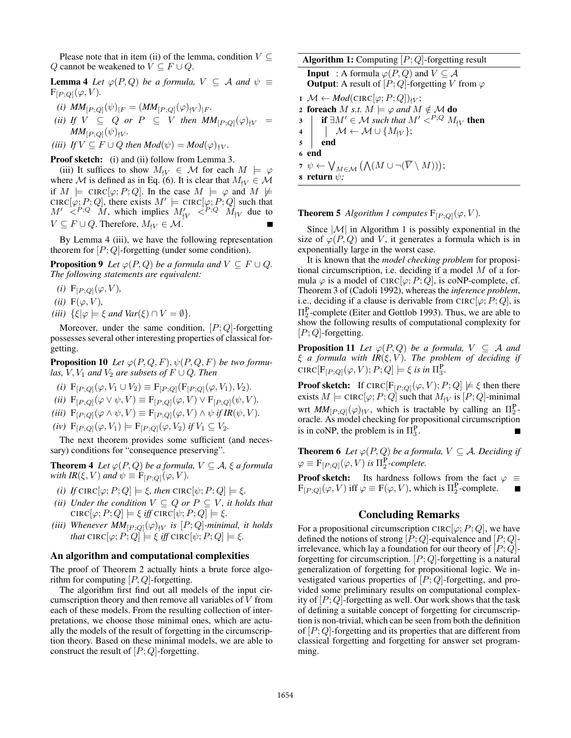Please note that in item (ii) of the lemma, condition  $V \subseteq$ Q cannot be weakened to  $V \subseteq F \cup Q$ .

**Lemma 4** *Let*  $\varphi(P,Q)$  *be a formula,*  $V \subseteq A$  *and*  $\psi \equiv$  $F_{[P;Q]}(\varphi, V)$ .

- *(i)*  $MM_{[P;Q]}(\psi)_{|F} = (MM_{[P;Q]}(\varphi)_{|V})_{|F}$ .
- *(ii)* If  $V \subseteq Q$  or  $P \subseteq V$  then  $MM_{[P,Q]}(\varphi)_{\{V\}} =$  $MM_{[P:Q]}(\psi)_{|V}.$

(iii) If 
$$
V \subseteq F \cup Q
$$
 then  $Mod(\psi) = Mod(\varphi)_{\dagger V}$ .

Proof sketch: (i) and (ii) follow from Lemma 3.

(iii) It suffices to show  $M_{\mathcal{W}} \in \mathcal{M}$  for each  $M \models \varphi$ where M is defined as in Eq. (6). It is clear that  $M_{\rm W} \in \mathcal{M}$ if  $M \models \text{CIRC}[\varphi; P; Q]$ . In the case  $M \models \varphi$  and  $M \not\models$ CIRC[ $\varphi$ ; P; Q], there exists  $M' \models$  CIRC[ $\varphi$ ; P; Q] such that  $M' \leq^{P,Q} M$ , which implies  $M'_{|V} \leq^{P,Q} M_{|V}$  due to  $V \subseteq F \cup Q$ . Therefore,  $M_{\nmid V} \in \mathcal{M}$ .

By Lemma 4 (iii), we have the following representation theorem for  $[P; Q]$ -forgetting (under some condition).

**Proposition 9** *Let*  $\varphi(P,Q)$  *be a formula and*  $V \subseteq F \cup Q$ *. The following statements are equivalent:*

- *(i)*  $F_{[P;Q]}(\varphi, V)$ *,*
- $(ii)$  F( $\varphi$ ,  $V$ ),
- *(iii)*  $\{\xi | \varphi \models \xi \text{ and } \text{Var}(\xi) \cap V = \emptyset\}.$

Moreover, under the same condition,  $[P; Q]$ -forgetting possesses several other interesting properties of classical forgetting.

**Proposition 10** Let  $\varphi(P,Q,F), \psi(P,Q,F)$  be two formu*las,*  $V$ ,  $V_1$  *and*  $V_2$  *are subsets of*  $F \cup Q$ *. Then* 

- *(i)*  $F_{[P;Q]}(\varphi, V_1 \cup V_2) \equiv F_{[P;Q]}(F_{[P;Q]}(\varphi, V_1), V_2)$ *.*
- *(ii)*  $F_{[P;Q]}(\varphi \vee \psi, V) \equiv F_{[P;Q]}(\varphi, V) \vee F_{[P;Q]}(\psi, V)$ .
- *(iii)*  $F_{[P;Q]}(\varphi \wedge \psi, V) \equiv F_{[P;Q]}(\varphi, V) \wedge \psi$  *if IR*( $\psi, V$ *)*.
- $(iv)$   $F_{[P:Q]}(\varphi, V_1) \models F_{[P:Q]}(\varphi, V_2)$  *if*  $V_1 \subseteq V_2$ .

The next theorem provides some sufficient (and necessary) conditions for "consequence preserving".

**Theorem 4** *Let*  $\varphi(P,Q)$  *be a formula,*  $V \subseteq A$ *,*  $\xi$  *a formula with IR*( $\xi$ ,  $V$ ) *and*  $\psi \equiv F_{[P;Q]}(\varphi, V)$ *.* 

- *(i) If* CIRC[ $\varphi$ ; *P*; *Q*]  $\models$  *ξ, then* CIRC[ $\psi$ ; *P*; *Q*]  $\models$  *ξ.*
- *(ii)* Under the condition  $V \subseteq Q$  or  $P \subseteq V$ , it holds that  $\text{CIRC}[\varphi;P;Q]\models\xi\text{ iff } \text{CIRC}[\psi;P;Q]\models\xi.$
- *(iii)* Whenever  $MM_{[P;Q]}(\varphi)_{\{V\}}$  *is*  $[P;Q]$ -minimal, *it holds that* CIRC $[\varphi; P; Q] \models \xi$  *iff* CIRC $[\psi; P; Q] \models \xi$ .

#### An algorithm and computational complexities

The proof of Theorem 2 actually hints a brute force algorithm for computing  $[P,Q]$ -forgetting.

The algorithm first find out all models of the input circumscription theory and then remove all variables of V from each of these models. From the resulting collection of interpretations, we choose those minimal ones, which are actually the models of the result of forgetting in the circumscription theory. Based on these minimal models, we are able to construct the result of  $[P; Q]$ -forgetting.

**Algorithm 1:** Computing  $[P; Q]$ -forgetting result **Input** : A formula  $\varphi(P, Q)$  and  $V \subseteq A$ **Output:** A result of  $[P; Q]$ -forgetting V from  $\varphi$  $1 \mathcal{M} \leftarrow \text{Mod}(\text{CIRC}[\varphi; P; Q])_{\{V\}};$ 2 foreach *M s.t.*  $M \models \varphi$  *and*  $M \notin \mathcal{M}$  do 3 **if**  $\exists M' \in \mathcal{M}$  such that  $M' <sup>P</sup>; Q M<sub>W</sub>$  then 4  $\mid \mathcal{M} \leftarrow \mathcal{M} \cup \{M_{iV}\};$ <sup>5</sup> end <sup>6</sup> end  $\tau \,\, \psi \leftarrow \bigvee_{M \in \mathcal{M}} \big( \bigwedge (M \cup \neg (\overline{V} \setminus M)) \big);$ 8 return  $\psi$ *;* 

#### **Theorem 5** *Algorithm 1 computes*  $F_{[P;Q]}(\varphi, V)$ *.*

Since  $|M|$  in Algorithm 1 is possibly exponential in the size of  $\varphi(P,Q)$  and V, it generates a formula which is in exponentially large in the worst case.

It is known that the *model checking problem* for propositional circumscription, i.e. deciding if a model  $M$  of a formula  $\varphi$  is a model of CIRC[ $\varphi$ ; P; Q], is coNP-complete, cf. Theorem 3 of (Cadoli 1992), whereas the *inference problem*, i.e., deciding if a clause is derivable from CIRC[ $\varphi$ ; P; Q], is  $\Pi_2^{\rm P}$ -complete (Eiter and Gottlob 1993). Thus, we are able to show the following results of computational complexity for  $[P; Q]$ -forgetting.

**Proposition 11** Let  $\varphi(P,Q)$  be a formula,  $V \subseteq A$  and  $\xi$  *a formula with IR*( $\xi$ ,  $V$ ). The problem of deciding if  $CIRC[F_{[P;Q]}(\varphi,V);P;Q] \models \xi \text{ is in } \Pi_3^P.$ 

**Proof sketch:** If CIRC $[F_{[P:O]}(\varphi, V); P; Q] \not\models \xi$  then there exists  $M \models \text{CIRC}[\varphi; P; Q]$  such that  $M_{\{V\}}$  is  $[P; Q]$ -minimal wrt  $MM_{[P;Q]}(\varphi)_{\nmid V}$ , which is tractable by calling an  $\Pi_2^{\mathbf{P}}$ oracle. As model checking for propositional circumscription is in coNP, the problem is in  $\Pi_3^P$ . П

**Theorem 6** *Let*  $\varphi(P,Q)$  *be a formula,*  $V \subseteq A$ *. Deciding if*  $\varphi \equiv \mathrm{F}_{[P;Q]}(\varphi, V)$  is  $\Pi_2^{\mathbf{P}}$ -complete.

**Proof sketch:** Its hardness follows from the fact  $\varphi \equiv$  $F_{[P;Q]}(\varphi, V)$  iff  $\varphi \equiv F(\varphi, V)$ , which is  $\Pi_2^{\mathbf{P}}$ -complete. П

### Concluding Remarks

For a propositional circumscription CIRC $[\varphi; P; Q]$ , we have defined the notions of strong  $[P; Q]$ -equivalence and  $[P; Q]$ irrelevance, which lay a foundation for our theory of  $[P; Q]$ forgetting for circumscription.  $[P; Q]$ -forgetting is a natural generalization of forgetting for propositional logic. We investigated various properties of  $[P; Q]$ -forgetting, and provided some preliminary results on computational complexity of  $[P; Q]$ -forgetting as well. Our work shows that the task of defining a suitable concept of forgetting for circumscription is non-trivial, which can be seen from both the definition of  $[P; Q]$ -forgetting and its properties that are different from classical forgetting and forgetting for answer set programming.